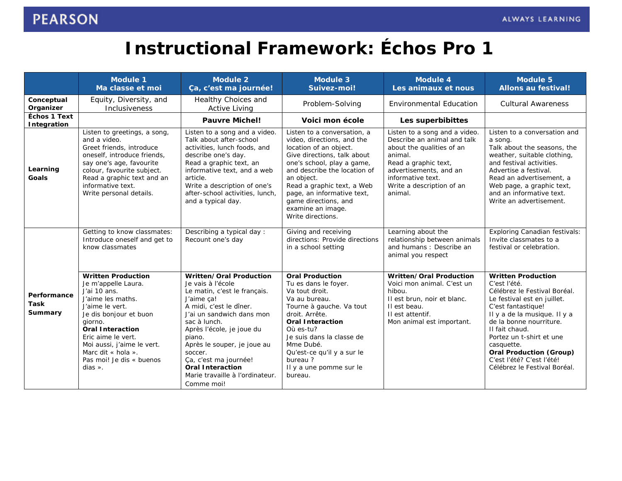## **Instructional Framework:** *Échos Pro 1*

|                                    | <b>Module 1</b><br>Ma classe et moi                                                                                                                                                                                                                                                                  | <b>Module 2</b><br>Ça, c'est ma journée!                                                                                                                                                                                                                                                                                                                 | <b>Module 3</b><br>Suivez-moi!                                                                                                                                                                                                                                                                                               | <b>Module 4</b><br>Les animaux et nous                                                                                                                                                                              | <b>Module 5</b><br><b>Allons au festival!</b>                                                                                                                                                                                                                                                                                                        |
|------------------------------------|------------------------------------------------------------------------------------------------------------------------------------------------------------------------------------------------------------------------------------------------------------------------------------------------------|----------------------------------------------------------------------------------------------------------------------------------------------------------------------------------------------------------------------------------------------------------------------------------------------------------------------------------------------------------|------------------------------------------------------------------------------------------------------------------------------------------------------------------------------------------------------------------------------------------------------------------------------------------------------------------------------|---------------------------------------------------------------------------------------------------------------------------------------------------------------------------------------------------------------------|------------------------------------------------------------------------------------------------------------------------------------------------------------------------------------------------------------------------------------------------------------------------------------------------------------------------------------------------------|
| Conceptual<br>Organizer            | Equity, Diversity, and<br>Inclusiveness                                                                                                                                                                                                                                                              | Healthy Choices and<br><b>Active Living</b>                                                                                                                                                                                                                                                                                                              | Problem-Solving                                                                                                                                                                                                                                                                                                              | <b>Environmental Education</b>                                                                                                                                                                                      | <b>Cultural Awareness</b>                                                                                                                                                                                                                                                                                                                            |
| <b>Échos 1 Text</b><br>Integration |                                                                                                                                                                                                                                                                                                      | <b>Pauvre Michel!</b>                                                                                                                                                                                                                                                                                                                                    | Voici mon école                                                                                                                                                                                                                                                                                                              | Les superbibittes                                                                                                                                                                                                   |                                                                                                                                                                                                                                                                                                                                                      |
| Learning<br><b>Goals</b>           | Listen to greetings, a song,<br>and a video.<br>Greet friends, introduce<br>oneself, introduce friends,<br>say one's age, favourite<br>colour, favourite subject.<br>Read a graphic text and an<br>informative text.<br>Write personal details.                                                      | Listen to a song and a video.<br>Talk about after-school<br>activities, lunch foods, and<br>describe one's day.<br>Read a graphic text, an<br>informative text, and a web<br>article.<br>Write a description of one's<br>after-school activities, lunch,<br>and a typical day.                                                                           | Listen to a conversation, a<br>video, directions, and the<br>location of an object.<br>Give directions, talk about<br>one's school, play a game,<br>and describe the location of<br>an object.<br>Read a graphic text, a Web<br>page, an informative text,<br>game directions, and<br>examine an image.<br>Write directions. | Listen to a song and a video.<br>Describe an animal and talk<br>about the qualities of an<br>animal.<br>Read a graphic text,<br>advertisements, and an<br>informative text.<br>Write a description of an<br>animal. | Listen to a conversation and<br>a song.<br>Talk about the seasons, the<br>weather, suitable clothing,<br>and festival activities.<br>Advertise a festival.<br>Read an advertisement, a<br>Web page, a graphic text,<br>and an informative text.<br>Write an advertisement.                                                                           |
| Performance<br>Task<br>Summary     | Getting to know classmates:<br>Introduce oneself and get to<br>know classmates                                                                                                                                                                                                                       | Describing a typical day :<br>Recount one's day                                                                                                                                                                                                                                                                                                          | Giving and receiving<br>directions: Provide directions<br>in a school setting                                                                                                                                                                                                                                                | Learning about the<br>relationship between animals<br>and humans : Describe an<br>animal you respect                                                                                                                | <b>Exploring Canadian festivals:</b><br>Invite classmates to a<br>festival or celebration.                                                                                                                                                                                                                                                           |
|                                    | <b>Written Production</b><br>Je m'appelle Laura.<br>J'ai 10 ans.<br>J'aime les maths.<br>J'aime le vert.<br>Je dis bonjour et buon<br>giorno.<br><b>Oral Interaction</b><br>Eric aime le vert.<br>Moi aussi, j'aime le vert.<br>Marc dit « hola ».<br>Pas moi! Je dis « buenos<br>$dias \, \times$ . | Written/Oral Production<br>Je vais à l'école<br>Le matin, c'est le français.<br>J'aime ça!<br>A midi, c'est le dîner.<br>J'ai un sandwich dans mon<br>sac à lunch.<br>Après l'école, je joue du<br>piano.<br>Après le souper, je joue au<br>soccer.<br>Ça, c'est ma journée!<br><b>Oral Interaction</b><br>Marie travaille à l'ordinateur.<br>Comme moi! | <b>Oral Production</b><br>Tu es dans le foyer.<br>Va tout droit.<br>Va au bureau.<br>Tourne à gauche. Va tout<br>droit. Arrête.<br><b>Oral Interaction</b><br>$O\dot{u}$ es-tu?<br>Je suis dans la classe de<br>Mme Dubé.<br>Qu'est-ce qu'il y a sur le<br>bureau?<br>Il y a une pomme sur le<br>bureau.                     | Written/Oral Production<br>Voici mon animal. C'est un<br>hibou.<br>Il est brun, noir et blanc.<br>Il est beau.<br>Il est attentif.<br>Mon animal est important.                                                     | <b>Written Production</b><br>C'est l'été.<br>Célébrez le Festival Boréal.<br>Le festival est en juillet.<br>C'est fantastique!<br>Il y a de la musique. Il y a<br>de la bonne nourriture.<br>Il fait chaud.<br>Portez un t-shirt et une<br>casquette.<br><b>Oral Production (Group)</b><br>C'est l'été? C'est l'été!<br>Célébrez le Festival Boréal. |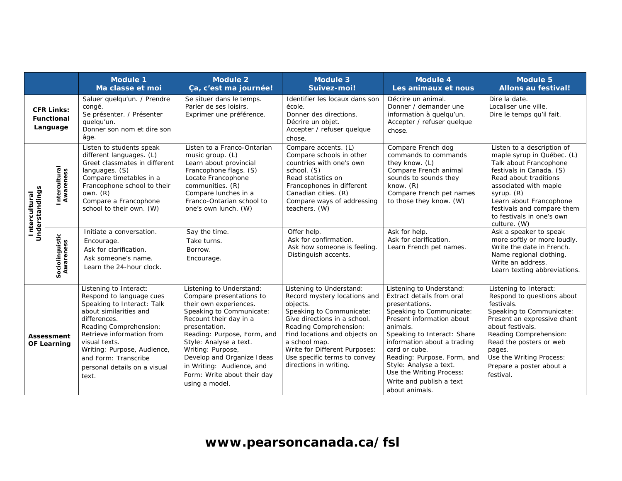|                                                    |                              | <b>Module 1</b><br>Ma classe et moi                                                                                                                                                                                                                                                                | <b>Module 2</b><br>Ça, c'est ma journée!                                                                                                                                                                                                                                                                                                        | <b>Module 3</b><br>Suivez-moi!                                                                                                                                                                                                                                                                          | <b>Module 4</b><br>Les animaux et nous                                                                                                                                                                                                                                                                                                                         | <b>Module 5</b><br><b>Allons au festival!</b>                                                                                                                                                                                                                                         |
|----------------------------------------------------|------------------------------|----------------------------------------------------------------------------------------------------------------------------------------------------------------------------------------------------------------------------------------------------------------------------------------------------|-------------------------------------------------------------------------------------------------------------------------------------------------------------------------------------------------------------------------------------------------------------------------------------------------------------------------------------------------|---------------------------------------------------------------------------------------------------------------------------------------------------------------------------------------------------------------------------------------------------------------------------------------------------------|----------------------------------------------------------------------------------------------------------------------------------------------------------------------------------------------------------------------------------------------------------------------------------------------------------------------------------------------------------------|---------------------------------------------------------------------------------------------------------------------------------------------------------------------------------------------------------------------------------------------------------------------------------------|
| <b>CFR Links:</b><br><b>Functional</b><br>Language |                              | Saluer quelqu'un. / Prendre<br>congé.<br>Se présenter. / Présenter<br>quelqu'un.<br>Donner son nom et dire son<br>âge.                                                                                                                                                                             | Se situer dans le temps.<br>Parler de ses loisirs.<br>Exprimer une préférence.                                                                                                                                                                                                                                                                  | Identifier les locaux dans son<br>école.<br>Donner des directions.<br>Décrire un objet.<br>Accepter / refuser quelque<br>chose.                                                                                                                                                                         | Décrire un animal.<br>Donner / demander une<br>information à quelqu'un.<br>Accepter / refuser quelque<br>chose.                                                                                                                                                                                                                                                | Dire la date.<br>Localiser une ville.<br>Dire le temps qu'il fait.                                                                                                                                                                                                                    |
| Understandings<br>Intercultural                    | Intercultural<br>Awareness   | Listen to students speak<br>different languages. (L)<br>Greet classmates in different<br>languages. (S)<br>Compare timetables in a<br>Francophone school to their<br>own. $(R)$<br>Compare a Francophone<br>school to their own. (W)                                                               | Listen to a Franco-Ontarian<br>music group. (L)<br>Learn about provincial<br>Francophone flags. (S)<br>Locate Francophone<br>communities. (R)<br>Compare lunches in a<br>Franco-Ontarian school to<br>one's own lunch. (W)                                                                                                                      | Compare accents. (L)<br>Compare schools in other<br>countries with one's own<br>school. (S)<br>Read statistics on<br>Francophones in different<br>Canadian cities. (R)<br>Compare ways of addressing<br>teachers. (W)                                                                                   | Compare French dog<br>commands to commands<br>they know. (L)<br>Compare French animal<br>sounds to sounds they<br>know. $(R)$<br>Compare French pet names<br>to those they know. (W)                                                                                                                                                                           | Listen to a description of<br>maple syrup in Québec. (L)<br>Talk about Francophone<br>festivals in Canada. (S)<br>Read about traditions<br>associated with maple<br>syrup. (R)<br>Learn about Francophone<br>festivals and compare them<br>to festivals in one's own<br>culture. (W)  |
|                                                    | Sociolinguistic<br>Awareness | Initiate a conversation.<br>Encourage.<br>Ask for clarification.<br>Ask someone's name.<br>Learn the 24-hour clock.                                                                                                                                                                                | Say the time.<br>Take turns.<br>Borrow.<br>Encourage.                                                                                                                                                                                                                                                                                           | Offer help.<br>Ask for confirmation.<br>Ask how someone is feeling.<br>Distinguish accents.                                                                                                                                                                                                             | Ask for help.<br>Ask for clarification.<br>Learn French pet names.                                                                                                                                                                                                                                                                                             | Ask a speaker to speak<br>more softly or more loudly.<br>Write the date in French.<br>Name regional clothing.<br>Write an address.<br>Learn texting abbreviations.                                                                                                                    |
| Assessment<br><b>OF Learning</b>                   |                              | Listening to Interact:<br>Respond to language cues<br>Speaking to Interact: Talk<br>about similarities and<br>differences.<br>Reading Comprehension:<br>Retrieve information from<br>visual texts.<br>Writing: Purpose, Audience,<br>and Form: Transcribe<br>personal details on a visual<br>text. | Listening to Understand:<br>Compare presentations to<br>their own experiences.<br>Speaking to Communicate:<br>Recount their day in a<br>presentation.<br>Reading: Purpose, Form, and<br>Style: Analyse a text.<br>Writing: Purpose,<br>Develop and Organize Ideas<br>in Writing: Audience, and<br>Form: Write about their day<br>using a model. | Listening to Understand:<br>Record mystery locations and<br>objects.<br>Speaking to Communicate:<br>Give directions in a school.<br>Reading Comprehension:<br>Find locations and objects on<br>a school map.<br>Write for Different Purposes:<br>Use specific terms to convey<br>directions in writing. | Listening to Understand:<br>Extract details from oral<br>presentations.<br>Speaking to Communicate:<br>Present information about<br>animals.<br>Speaking to Interact: Share<br>information about a trading<br>card or cube.<br>Reading: Purpose, Form, and<br>Style: Analyse a text.<br>Use the Writing Process:<br>Write and publish a text<br>about animals. | Listening to Interact:<br>Respond to questions about<br>festivals.<br>Speaking to Communicate:<br>Present an expressive chant<br>about festivals.<br>Reading Comprehension:<br>Read the posters or web<br>pages.<br>Use the Writing Process:<br>Prepare a poster about a<br>festival. |